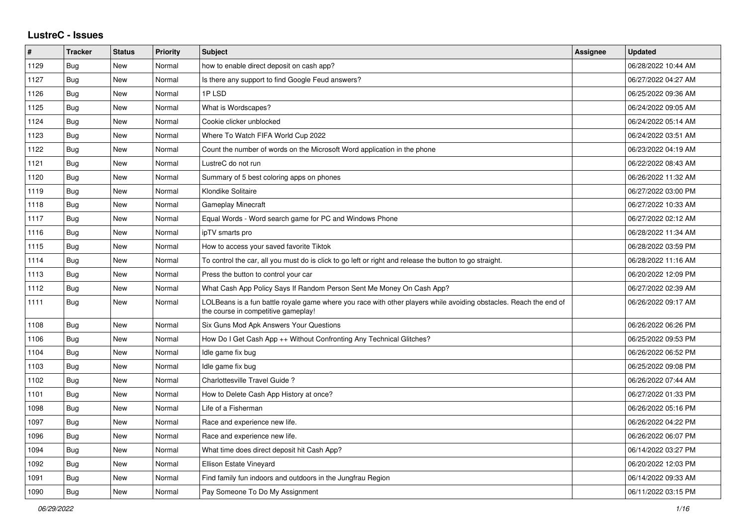## **LustreC - Issues**

| $\sharp$ | <b>Tracker</b> | <b>Status</b> | <b>Priority</b> | <b>Subject</b>                                                                                                                                           | <b>Assignee</b> | <b>Updated</b>      |
|----------|----------------|---------------|-----------------|----------------------------------------------------------------------------------------------------------------------------------------------------------|-----------------|---------------------|
| 1129     | Bug            | New           | Normal          | how to enable direct deposit on cash app?                                                                                                                |                 | 06/28/2022 10:44 AM |
| 1127     | <b>Bug</b>     | New           | Normal          | Is there any support to find Google Feud answers?                                                                                                        |                 | 06/27/2022 04:27 AM |
| 1126     | <b>Bug</b>     | New           | Normal          | 1PLSD                                                                                                                                                    |                 | 06/25/2022 09:36 AM |
| 1125     | Bug            | New           | Normal          | What is Wordscapes?                                                                                                                                      |                 | 06/24/2022 09:05 AM |
| 1124     | Bug            | New           | Normal          | Cookie clicker unblocked                                                                                                                                 |                 | 06/24/2022 05:14 AM |
| 1123     | <b>Bug</b>     | New           | Normal          | Where To Watch FIFA World Cup 2022                                                                                                                       |                 | 06/24/2022 03:51 AM |
| 1122     | Bug            | New           | Normal          | Count the number of words on the Microsoft Word application in the phone                                                                                 |                 | 06/23/2022 04:19 AM |
| 1121     | <b>Bug</b>     | New           | Normal          | LustreC do not run                                                                                                                                       |                 | 06/22/2022 08:43 AM |
| 1120     | Bug            | New           | Normal          | Summary of 5 best coloring apps on phones                                                                                                                |                 | 06/26/2022 11:32 AM |
| 1119     | Bug            | New           | Normal          | Klondike Solitaire                                                                                                                                       |                 | 06/27/2022 03:00 PM |
| 1118     | Bug            | New           | Normal          | <b>Gameplay Minecraft</b>                                                                                                                                |                 | 06/27/2022 10:33 AM |
| 1117     | Bug            | New           | Normal          | Equal Words - Word search game for PC and Windows Phone                                                                                                  |                 | 06/27/2022 02:12 AM |
| 1116     | <b>Bug</b>     | New           | Normal          | ipTV smarts pro                                                                                                                                          |                 | 06/28/2022 11:34 AM |
| 1115     | <b>Bug</b>     | New           | Normal          | How to access your saved favorite Tiktok                                                                                                                 |                 | 06/28/2022 03:59 PM |
| 1114     | Bug            | New           | Normal          | To control the car, all you must do is click to go left or right and release the button to go straight.                                                  |                 | 06/28/2022 11:16 AM |
| 1113     | <b>Bug</b>     | New           | Normal          | Press the button to control your car                                                                                                                     |                 | 06/20/2022 12:09 PM |
| 1112     | <b>Bug</b>     | New           | Normal          | What Cash App Policy Says If Random Person Sent Me Money On Cash App?                                                                                    |                 | 06/27/2022 02:39 AM |
| 1111     | <b>Bug</b>     | New           | Normal          | LOLBeans is a fun battle royale game where you race with other players while avoiding obstacles. Reach the end of<br>the course in competitive gameplay! |                 | 06/26/2022 09:17 AM |
| 1108     | Bug            | New           | Normal          | Six Guns Mod Apk Answers Your Questions                                                                                                                  |                 | 06/26/2022 06:26 PM |
| 1106     | <b>Bug</b>     | New           | Normal          | How Do I Get Cash App ++ Without Confronting Any Technical Glitches?                                                                                     |                 | 06/25/2022 09:53 PM |
| 1104     | Bug            | New           | Normal          | Idle game fix bug                                                                                                                                        |                 | 06/26/2022 06:52 PM |
| 1103     | <b>Bug</b>     | New           | Normal          | Idle game fix bug                                                                                                                                        |                 | 06/25/2022 09:08 PM |
| 1102     | Bug            | New           | Normal          | Charlottesville Travel Guide?                                                                                                                            |                 | 06/26/2022 07:44 AM |
| 1101     | <b>Bug</b>     | <b>New</b>    | Normal          | How to Delete Cash App History at once?                                                                                                                  |                 | 06/27/2022 01:33 PM |
| 1098     | Bug            | New           | Normal          | Life of a Fisherman                                                                                                                                      |                 | 06/26/2022 05:16 PM |
| 1097     | Bug            | New           | Normal          | Race and experience new life.                                                                                                                            |                 | 06/26/2022 04:22 PM |
| 1096     | Bug            | New           | Normal          | Race and experience new life.                                                                                                                            |                 | 06/26/2022 06:07 PM |
| 1094     | Bug            | New           | Normal          | What time does direct deposit hit Cash App?                                                                                                              |                 | 06/14/2022 03:27 PM |
| 1092     | <b>Bug</b>     | New           | Normal          | Ellison Estate Vineyard                                                                                                                                  |                 | 06/20/2022 12:03 PM |
| 1091     | <b>Bug</b>     | New           | Normal          | Find family fun indoors and outdoors in the Jungfrau Region                                                                                              |                 | 06/14/2022 09:33 AM |
| 1090     | Bug            | New           | Normal          | Pay Someone To Do My Assignment                                                                                                                          |                 | 06/11/2022 03:15 PM |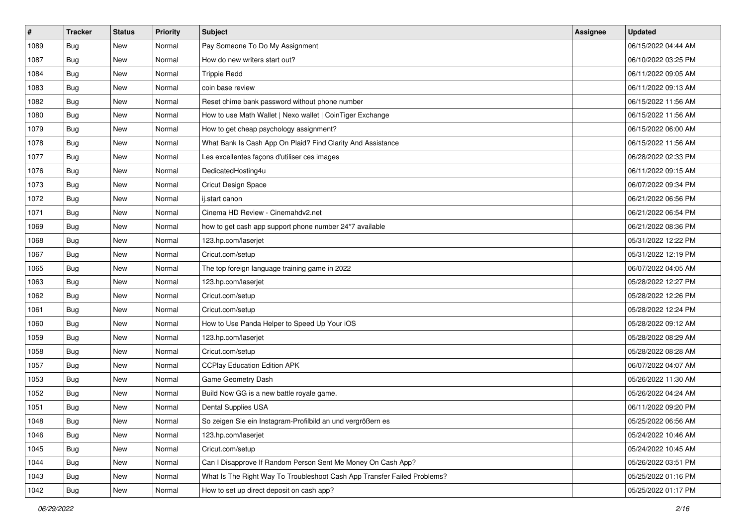| #    | <b>Tracker</b> | <b>Status</b> | <b>Priority</b> | <b>Subject</b>                                                           | <b>Assignee</b> | <b>Updated</b>      |
|------|----------------|---------------|-----------------|--------------------------------------------------------------------------|-----------------|---------------------|
| 1089 | <b>Bug</b>     | New           | Normal          | Pay Someone To Do My Assignment                                          |                 | 06/15/2022 04:44 AM |
| 1087 | Bug            | New           | Normal          | How do new writers start out?                                            |                 | 06/10/2022 03:25 PM |
| 1084 | <b>Bug</b>     | New           | Normal          | <b>Trippie Redd</b>                                                      |                 | 06/11/2022 09:05 AM |
| 1083 | <b>Bug</b>     | New           | Normal          | coin base review                                                         |                 | 06/11/2022 09:13 AM |
| 1082 | <b>Bug</b>     | New           | Normal          | Reset chime bank password without phone number                           |                 | 06/15/2022 11:56 AM |
| 1080 | <b>Bug</b>     | New           | Normal          | How to use Math Wallet   Nexo wallet   CoinTiger Exchange                |                 | 06/15/2022 11:56 AM |
| 1079 | <b>Bug</b>     | New           | Normal          | How to get cheap psychology assignment?                                  |                 | 06/15/2022 06:00 AM |
| 1078 | Bug            | New           | Normal          | What Bank Is Cash App On Plaid? Find Clarity And Assistance              |                 | 06/15/2022 11:56 AM |
| 1077 | Bug            | New           | Normal          | Les excellentes façons d'utiliser ces images                             |                 | 06/28/2022 02:33 PM |
| 1076 | Bug            | New           | Normal          | DedicatedHosting4u                                                       |                 | 06/11/2022 09:15 AM |
| 1073 | Bug            | New           | Normal          | Cricut Design Space                                                      |                 | 06/07/2022 09:34 PM |
| 1072 | <b>Bug</b>     | New           | Normal          | ij.start canon                                                           |                 | 06/21/2022 06:56 PM |
| 1071 | Bug            | New           | Normal          | Cinema HD Review - Cinemahdv2.net                                        |                 | 06/21/2022 06:54 PM |
| 1069 | <b>Bug</b>     | New           | Normal          | how to get cash app support phone number 24*7 available                  |                 | 06/21/2022 08:36 PM |
| 1068 | <b>Bug</b>     | New           | Normal          | 123.hp.com/laserjet                                                      |                 | 05/31/2022 12:22 PM |
| 1067 | Bug            | New           | Normal          | Cricut.com/setup                                                         |                 | 05/31/2022 12:19 PM |
| 1065 | <b>Bug</b>     | New           | Normal          | The top foreign language training game in 2022                           |                 | 06/07/2022 04:05 AM |
| 1063 | Bug            | <b>New</b>    | Normal          | 123.hp.com/laserjet                                                      |                 | 05/28/2022 12:27 PM |
| 1062 | <b>Bug</b>     | New           | Normal          | Cricut.com/setup                                                         |                 | 05/28/2022 12:26 PM |
| 1061 | <b>Bug</b>     | New           | Normal          | Cricut.com/setup                                                         |                 | 05/28/2022 12:24 PM |
| 1060 | <b>Bug</b>     | New           | Normal          | How to Use Panda Helper to Speed Up Your iOS                             |                 | 05/28/2022 09:12 AM |
| 1059 | <b>Bug</b>     | New           | Normal          | 123.hp.com/laserjet                                                      |                 | 05/28/2022 08:29 AM |
| 1058 | Bug            | New           | Normal          | Cricut.com/setup                                                         |                 | 05/28/2022 08:28 AM |
| 1057 | <b>Bug</b>     | New           | Normal          | <b>CCPlay Education Edition APK</b>                                      |                 | 06/07/2022 04:07 AM |
| 1053 | <b>Bug</b>     | New           | Normal          | Game Geometry Dash                                                       |                 | 05/26/2022 11:30 AM |
| 1052 | Bug            | New           | Normal          | Build Now GG is a new battle royale game.                                |                 | 05/26/2022 04:24 AM |
| 1051 | <b>Bug</b>     | New           | Normal          | Dental Supplies USA                                                      |                 | 06/11/2022 09:20 PM |
| 1048 | <b>Bug</b>     | New           | Normal          | So zeigen Sie ein Instagram-Profilbild an und vergrößern es              |                 | 05/25/2022 06:56 AM |
| 1046 | <b>Bug</b>     | New           | Normal          | 123.hp.com/laserjet                                                      |                 | 05/24/2022 10:46 AM |
| 1045 | <b>Bug</b>     | New           | Normal          | Cricut.com/setup                                                         |                 | 05/24/2022 10:45 AM |
| 1044 | Bug            | New           | Normal          | Can I Disapprove If Random Person Sent Me Money On Cash App?             |                 | 05/26/2022 03:51 PM |
| 1043 | <b>Bug</b>     | New           | Normal          | What Is The Right Way To Troubleshoot Cash App Transfer Failed Problems? |                 | 05/25/2022 01:16 PM |
| 1042 | <b>Bug</b>     | New           | Normal          | How to set up direct deposit on cash app?                                |                 | 05/25/2022 01:17 PM |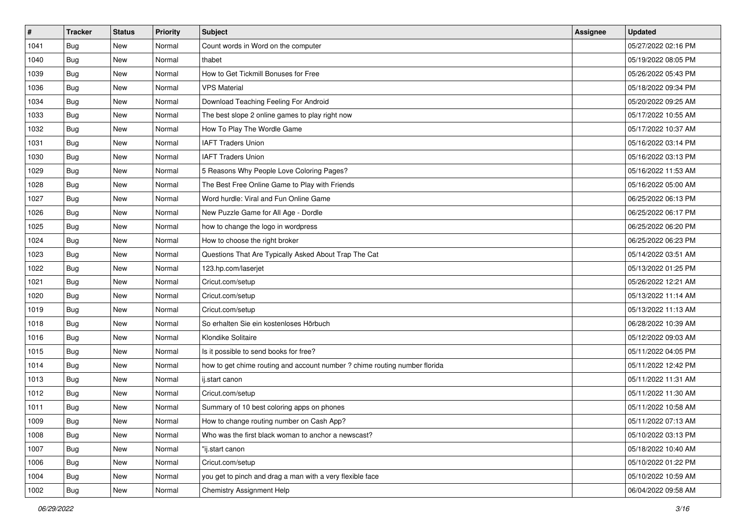| #    | <b>Tracker</b> | <b>Status</b> | <b>Priority</b> | <b>Subject</b>                                                             | <b>Assignee</b> | <b>Updated</b>      |
|------|----------------|---------------|-----------------|----------------------------------------------------------------------------|-----------------|---------------------|
| 1041 | <b>Bug</b>     | New           | Normal          | Count words in Word on the computer                                        |                 | 05/27/2022 02:16 PM |
| 1040 | Bug            | New           | Normal          | thabet                                                                     |                 | 05/19/2022 08:05 PM |
| 1039 | <b>Bug</b>     | New           | Normal          | How to Get Tickmill Bonuses for Free                                       |                 | 05/26/2022 05:43 PM |
| 1036 | Bug            | New           | Normal          | <b>VPS Material</b>                                                        |                 | 05/18/2022 09:34 PM |
| 1034 | <b>Bug</b>     | New           | Normal          | Download Teaching Feeling For Android                                      |                 | 05/20/2022 09:25 AM |
| 1033 | <b>Bug</b>     | New           | Normal          | The best slope 2 online games to play right now                            |                 | 05/17/2022 10:55 AM |
| 1032 | <b>Bug</b>     | New           | Normal          | How To Play The Wordle Game                                                |                 | 05/17/2022 10:37 AM |
| 1031 | <b>Bug</b>     | New           | Normal          | <b>IAFT Traders Union</b>                                                  |                 | 05/16/2022 03:14 PM |
| 1030 | Bug            | New           | Normal          | <b>IAFT Traders Union</b>                                                  |                 | 05/16/2022 03:13 PM |
| 1029 | Bug            | New           | Normal          | 5 Reasons Why People Love Coloring Pages?                                  |                 | 05/16/2022 11:53 AM |
| 1028 | Bug            | New           | Normal          | The Best Free Online Game to Play with Friends                             |                 | 05/16/2022 05:00 AM |
| 1027 | <b>Bug</b>     | New           | Normal          | Word hurdle: Viral and Fun Online Game                                     |                 | 06/25/2022 06:13 PM |
| 1026 | Bug            | <b>New</b>    | Normal          | New Puzzle Game for All Age - Dordle                                       |                 | 06/25/2022 06:17 PM |
| 1025 | <b>Bug</b>     | New           | Normal          | how to change the logo in wordpress                                        |                 | 06/25/2022 06:20 PM |
| 1024 | <b>Bug</b>     | New           | Normal          | How to choose the right broker                                             |                 | 06/25/2022 06:23 PM |
| 1023 | <b>Bug</b>     | New           | Normal          | Questions That Are Typically Asked About Trap The Cat                      |                 | 05/14/2022 03:51 AM |
| 1022 | <b>Bug</b>     | New           | Normal          | 123.hp.com/laserjet                                                        |                 | 05/13/2022 01:25 PM |
| 1021 | Bug            | <b>New</b>    | Normal          | Cricut.com/setup                                                           |                 | 05/26/2022 12:21 AM |
| 1020 | Bug            | New           | Normal          | Cricut.com/setup                                                           |                 | 05/13/2022 11:14 AM |
| 1019 | Bug            | New           | Normal          | Cricut.com/setup                                                           |                 | 05/13/2022 11:13 AM |
| 1018 | <b>Bug</b>     | <b>New</b>    | Normal          | So erhalten Sie ein kostenloses Hörbuch                                    |                 | 06/28/2022 10:39 AM |
| 1016 | <b>Bug</b>     | New           | Normal          | Klondike Solitaire                                                         |                 | 05/12/2022 09:03 AM |
| 1015 | Bug            | New           | Normal          | Is it possible to send books for free?                                     |                 | 05/11/2022 04:05 PM |
| 1014 | Bug            | New           | Normal          | how to get chime routing and account number ? chime routing number florida |                 | 05/11/2022 12:42 PM |
| 1013 | <b>Bug</b>     | New           | Normal          | ij.start canon                                                             |                 | 05/11/2022 11:31 AM |
| 1012 | Bug            | <b>New</b>    | Normal          | Cricut.com/setup                                                           |                 | 05/11/2022 11:30 AM |
| 1011 | <b>Bug</b>     | New           | Normal          | Summary of 10 best coloring apps on phones                                 |                 | 05/11/2022 10:58 AM |
| 1009 | Bug            | New           | Normal          | How to change routing number on Cash App?                                  |                 | 05/11/2022 07:13 AM |
| 1008 | <b>Bug</b>     | New           | Normal          | Who was the first black woman to anchor a newscast?                        |                 | 05/10/2022 03:13 PM |
| 1007 | <b>Bug</b>     | New           | Normal          | "ij.start canon                                                            |                 | 05/18/2022 10:40 AM |
| 1006 | <b>Bug</b>     | New           | Normal          | Cricut.com/setup                                                           |                 | 05/10/2022 01:22 PM |
| 1004 | <b>Bug</b>     | New           | Normal          | you get to pinch and drag a man with a very flexible face                  |                 | 05/10/2022 10:59 AM |
| 1002 | <b>Bug</b>     | New           | Normal          | Chemistry Assignment Help                                                  |                 | 06/04/2022 09:58 AM |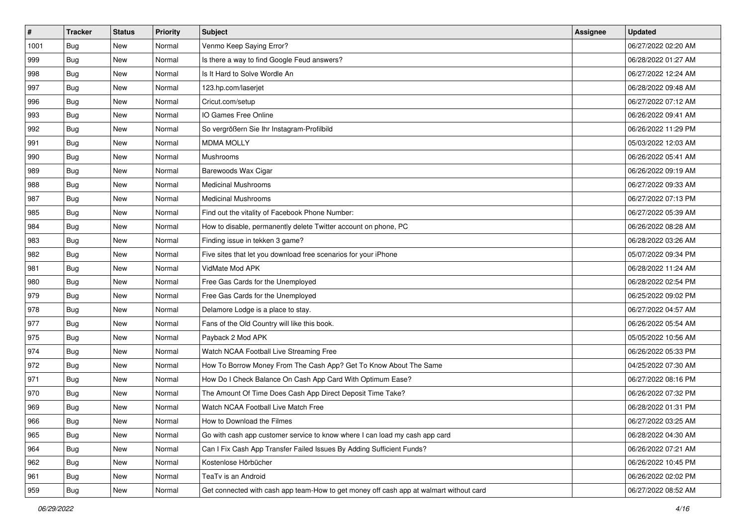| $\sharp$ | <b>Tracker</b> | <b>Status</b> | Priority | <b>Subject</b>                                                                         | <b>Assignee</b> | <b>Updated</b>      |
|----------|----------------|---------------|----------|----------------------------------------------------------------------------------------|-----------------|---------------------|
| 1001     | <b>Bug</b>     | New           | Normal   | Venmo Keep Saying Error?                                                               |                 | 06/27/2022 02:20 AM |
| 999      | Bug            | New           | Normal   | Is there a way to find Google Feud answers?                                            |                 | 06/28/2022 01:27 AM |
| 998      | Bug            | New           | Normal   | Is It Hard to Solve Wordle An                                                          |                 | 06/27/2022 12:24 AM |
| 997      | Bug            | <b>New</b>    | Normal   | 123.hp.com/laserjet                                                                    |                 | 06/28/2022 09:48 AM |
| 996      | Bug            | New           | Normal   | Cricut.com/setup                                                                       |                 | 06/27/2022 07:12 AM |
| 993      | <b>Bug</b>     | <b>New</b>    | Normal   | IO Games Free Online                                                                   |                 | 06/26/2022 09:41 AM |
| 992      | Bug            | New           | Normal   | So vergrößern Sie Ihr Instagram-Profilbild                                             |                 | 06/26/2022 11:29 PM |
| 991      | <b>Bug</b>     | New           | Normal   | <b>MDMA MOLLY</b>                                                                      |                 | 05/03/2022 12:03 AM |
| 990      | Bug            | New           | Normal   | Mushrooms                                                                              |                 | 06/26/2022 05:41 AM |
| 989      | Bug            | New           | Normal   | Barewoods Wax Cigar                                                                    |                 | 06/26/2022 09:19 AM |
| 988      | <b>Bug</b>     | New           | Normal   | <b>Medicinal Mushrooms</b>                                                             |                 | 06/27/2022 09:33 AM |
| 987      | Bug            | New           | Normal   | <b>Medicinal Mushrooms</b>                                                             |                 | 06/27/2022 07:13 PM |
| 985      | Bug            | New           | Normal   | Find out the vitality of Facebook Phone Number:                                        |                 | 06/27/2022 05:39 AM |
| 984      | Bug            | New           | Normal   | How to disable, permanently delete Twitter account on phone, PC                        |                 | 06/26/2022 08:28 AM |
| 983      | <b>Bug</b>     | <b>New</b>    | Normal   | Finding issue in tekken 3 game?                                                        |                 | 06/28/2022 03:26 AM |
| 982      | Bug            | New           | Normal   | Five sites that let you download free scenarios for your iPhone                        |                 | 05/07/2022 09:34 PM |
| 981      | <b>Bug</b>     | <b>New</b>    | Normal   | VidMate Mod APK                                                                        |                 | 06/28/2022 11:24 AM |
| 980      | Bug            | New           | Normal   | Free Gas Cards for the Unemployed                                                      |                 | 06/28/2022 02:54 PM |
| 979      | Bug            | New           | Normal   | Free Gas Cards for the Unemployed                                                      |                 | 06/25/2022 09:02 PM |
| 978      | Bug            | New           | Normal   | Delamore Lodge is a place to stay.                                                     |                 | 06/27/2022 04:57 AM |
| 977      | Bug            | New           | Normal   | Fans of the Old Country will like this book.                                           |                 | 06/26/2022 05:54 AM |
| 975      | Bug            | New           | Normal   | Payback 2 Mod APK                                                                      |                 | 05/05/2022 10:56 AM |
| 974      | Bug            | New           | Normal   | Watch NCAA Football Live Streaming Free                                                |                 | 06/26/2022 05:33 PM |
| 972      | <b>Bug</b>     | New           | Normal   | How To Borrow Money From The Cash App? Get To Know About The Same                      |                 | 04/25/2022 07:30 AM |
| 971      | Bug            | New           | Normal   | How Do I Check Balance On Cash App Card With Optimum Ease?                             |                 | 06/27/2022 08:16 PM |
| 970      | Bug            | New           | Normal   | The Amount Of Time Does Cash App Direct Deposit Time Take?                             |                 | 06/26/2022 07:32 PM |
| 969      | Bug            | New           | Normal   | Watch NCAA Football Live Match Free                                                    |                 | 06/28/2022 01:31 PM |
| 966      | Bug            | New           | Normal   | How to Download the Filmes                                                             |                 | 06/27/2022 03:25 AM |
| 965      | Bug            | New           | Normal   | Go with cash app customer service to know where I can load my cash app card            |                 | 06/28/2022 04:30 AM |
| 964      | Bug            | New           | Normal   | Can I Fix Cash App Transfer Failed Issues By Adding Sufficient Funds?                  |                 | 06/26/2022 07:21 AM |
| 962      | <b>Bug</b>     | New           | Normal   | Kostenlose Hörbücher                                                                   |                 | 06/26/2022 10:45 PM |
| 961      | Bug            | New           | Normal   | TeaTv is an Android                                                                    |                 | 06/26/2022 02:02 PM |
| 959      | <b>Bug</b>     | New           | Normal   | Get connected with cash app team-How to get money off cash app at walmart without card |                 | 06/27/2022 08:52 AM |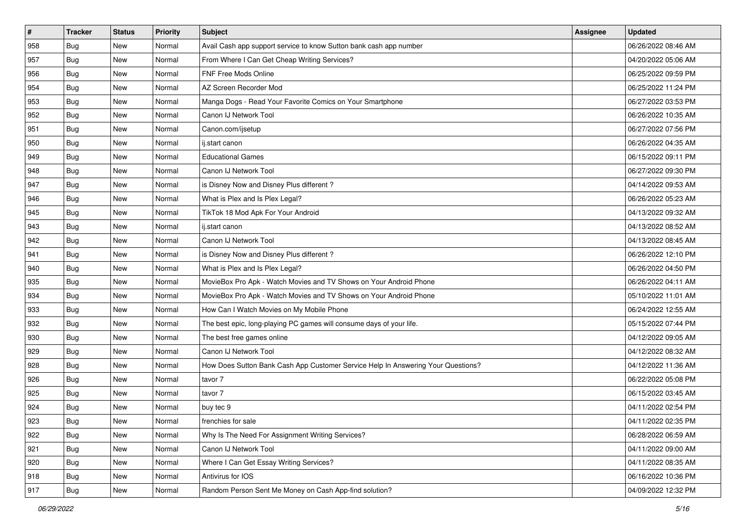| $\vert$ # | <b>Tracker</b> | <b>Status</b> | Priority | Subject                                                                          | <b>Assignee</b> | <b>Updated</b>      |
|-----------|----------------|---------------|----------|----------------------------------------------------------------------------------|-----------------|---------------------|
| 958       | <b>Bug</b>     | New           | Normal   | Avail Cash app support service to know Sutton bank cash app number               |                 | 06/26/2022 08:46 AM |
| 957       | <b>Bug</b>     | New           | Normal   | From Where I Can Get Cheap Writing Services?                                     |                 | 04/20/2022 05:06 AM |
| 956       | <b>Bug</b>     | New           | Normal   | FNF Free Mods Online                                                             |                 | 06/25/2022 09:59 PM |
| 954       | <b>Bug</b>     | New           | Normal   | AZ Screen Recorder Mod                                                           |                 | 06/25/2022 11:24 PM |
| 953       | <b>Bug</b>     | <b>New</b>    | Normal   | Manga Dogs - Read Your Favorite Comics on Your Smartphone                        |                 | 06/27/2022 03:53 PM |
| 952       | <b>Bug</b>     | New           | Normal   | Canon IJ Network Tool                                                            |                 | 06/26/2022 10:35 AM |
| 951       | Bug            | New           | Normal   | Canon.com/ijsetup                                                                |                 | 06/27/2022 07:56 PM |
| 950       | <b>Bug</b>     | New           | Normal   | ii.start canon                                                                   |                 | 06/26/2022 04:35 AM |
| 949       | <b>Bug</b>     | New           | Normal   | <b>Educational Games</b>                                                         |                 | 06/15/2022 09:11 PM |
| 948       | Bug            | <b>New</b>    | Normal   | Canon IJ Network Tool                                                            |                 | 06/27/2022 09:30 PM |
| 947       | <b>Bug</b>     | New           | Normal   | is Disney Now and Disney Plus different?                                         |                 | 04/14/2022 09:53 AM |
| 946       | <b>Bug</b>     | New           | Normal   | What is Plex and Is Plex Legal?                                                  |                 | 06/26/2022 05:23 AM |
| 945       | Bug            | New           | Normal   | TikTok 18 Mod Apk For Your Android                                               |                 | 04/13/2022 09:32 AM |
| 943       | <b>Bug</b>     | New           | Normal   | ij.start canon                                                                   |                 | 04/13/2022 08:52 AM |
| 942       | <b>Bug</b>     | New           | Normal   | Canon IJ Network Tool                                                            |                 | 04/13/2022 08:45 AM |
| 941       | <b>Bug</b>     | New           | Normal   | is Disney Now and Disney Plus different?                                         |                 | 06/26/2022 12:10 PM |
| 940       | <b>Bug</b>     | New           | Normal   | What is Plex and Is Plex Legal?                                                  |                 | 06/26/2022 04:50 PM |
| 935       | <b>Bug</b>     | <b>New</b>    | Normal   | MovieBox Pro Apk - Watch Movies and TV Shows on Your Android Phone               |                 | 06/26/2022 04:11 AM |
| 934       | <b>Bug</b>     | New           | Normal   | MovieBox Pro Apk - Watch Movies and TV Shows on Your Android Phone               |                 | 05/10/2022 11:01 AM |
| 933       | <b>Bug</b>     | New           | Normal   | How Can I Watch Movies on My Mobile Phone                                        |                 | 06/24/2022 12:55 AM |
| 932       | Bug            | New           | Normal   | The best epic, long-playing PC games will consume days of your life.             |                 | 05/15/2022 07:44 PM |
| 930       | <b>Bug</b>     | New           | Normal   | The best free games online                                                       |                 | 04/12/2022 09:05 AM |
| 929       | Bug            | <b>New</b>    | Normal   | Canon IJ Network Tool                                                            |                 | 04/12/2022 08:32 AM |
| 928       | <b>Bug</b>     | New           | Normal   | How Does Sutton Bank Cash App Customer Service Help In Answering Your Questions? |                 | 04/12/2022 11:36 AM |
| 926       | <b>Bug</b>     | New           | Normal   | tavor 7                                                                          |                 | 06/22/2022 05:08 PM |
| 925       | Bug            | New           | Normal   | tavor 7                                                                          |                 | 06/15/2022 03:45 AM |
| 924       | <b>Bug</b>     | New           | Normal   | buy tec 9                                                                        |                 | 04/11/2022 02:54 PM |
| 923       | <b>Bug</b>     | New           | Normal   | frenchies for sale                                                               |                 | 04/11/2022 02:35 PM |
| 922       | Bug            | New           | Normal   | Why Is The Need For Assignment Writing Services?                                 |                 | 06/28/2022 06:59 AM |
| 921       | <b>Bug</b>     | New           | Normal   | Canon IJ Network Tool                                                            |                 | 04/11/2022 09:00 AM |
| 920       | <b>Bug</b>     | New           | Normal   | Where I Can Get Essay Writing Services?                                          |                 | 04/11/2022 08:35 AM |
| 918       | <b>Bug</b>     | New           | Normal   | Antivirus for IOS                                                                |                 | 06/16/2022 10:36 PM |
| 917       | <b>Bug</b>     | New           | Normal   | Random Person Sent Me Money on Cash App-find solution?                           |                 | 04/09/2022 12:32 PM |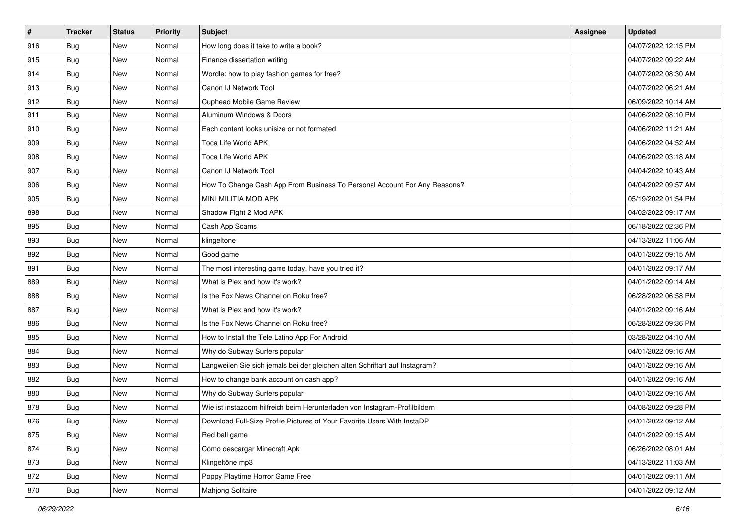| $\sharp$ | <b>Tracker</b> | <b>Status</b> | Priority | <b>Subject</b>                                                              | <b>Assignee</b> | <b>Updated</b>      |
|----------|----------------|---------------|----------|-----------------------------------------------------------------------------|-----------------|---------------------|
| 916      | <b>Bug</b>     | New           | Normal   | How long does it take to write a book?                                      |                 | 04/07/2022 12:15 PM |
| 915      | Bug            | New           | Normal   | Finance dissertation writing                                                |                 | 04/07/2022 09:22 AM |
| 914      | Bug            | New           | Normal   | Wordle: how to play fashion games for free?                                 |                 | 04/07/2022 08:30 AM |
| 913      | Bug            | <b>New</b>    | Normal   | Canon IJ Network Tool                                                       |                 | 04/07/2022 06:21 AM |
| 912      | Bug            | New           | Normal   | Cuphead Mobile Game Review                                                  |                 | 06/09/2022 10:14 AM |
| 911      | <b>Bug</b>     | <b>New</b>    | Normal   | Aluminum Windows & Doors                                                    |                 | 04/06/2022 08:10 PM |
| 910      | Bug            | New           | Normal   | Each content looks unisize or not formated                                  |                 | 04/06/2022 11:21 AM |
| 909      | <b>Bug</b>     | New           | Normal   | Toca Life World APK                                                         |                 | 04/06/2022 04:52 AM |
| 908      | Bug            | New           | Normal   | Toca Life World APK                                                         |                 | 04/06/2022 03:18 AM |
| 907      | Bug            | New           | Normal   | Canon IJ Network Tool                                                       |                 | 04/04/2022 10:43 AM |
| 906      | <b>Bug</b>     | New           | Normal   | How To Change Cash App From Business To Personal Account For Any Reasons?   |                 | 04/04/2022 09:57 AM |
| 905      | Bug            | New           | Normal   | MINI MILITIA MOD APK                                                        |                 | 05/19/2022 01:54 PM |
| 898      | Bug            | New           | Normal   | Shadow Fight 2 Mod APK                                                      |                 | 04/02/2022 09:17 AM |
| 895      | <b>Bug</b>     | New           | Normal   | Cash App Scams                                                              |                 | 06/18/2022 02:36 PM |
| 893      | <b>Bug</b>     | <b>New</b>    | Normal   | klingeltone                                                                 |                 | 04/13/2022 11:06 AM |
| 892      | Bug            | New           | Normal   | Good game                                                                   |                 | 04/01/2022 09:15 AM |
| 891      | <b>Bug</b>     | <b>New</b>    | Normal   | The most interesting game today, have you tried it?                         |                 | 04/01/2022 09:17 AM |
| 889      | Bug            | New           | Normal   | What is Plex and how it's work?                                             |                 | 04/01/2022 09:14 AM |
| 888      | Bug            | New           | Normal   | Is the Fox News Channel on Roku free?                                       |                 | 06/28/2022 06:58 PM |
| 887      | Bug            | New           | Normal   | What is Plex and how it's work?                                             |                 | 04/01/2022 09:16 AM |
| 886      | Bug            | New           | Normal   | Is the Fox News Channel on Roku free?                                       |                 | 06/28/2022 09:36 PM |
| 885      | Bug            | New           | Normal   | How to Install the Tele Latino App For Android                              |                 | 03/28/2022 04:10 AM |
| 884      | Bug            | New           | Normal   | Why do Subway Surfers popular                                               |                 | 04/01/2022 09:16 AM |
| 883      | <b>Bug</b>     | New           | Normal   | Langweilen Sie sich jemals bei der gleichen alten Schriftart auf Instagram? |                 | 04/01/2022 09:16 AM |
| 882      | Bug            | New           | Normal   | How to change bank account on cash app?                                     |                 | 04/01/2022 09:16 AM |
| 880      | Bug            | New           | Normal   | Why do Subway Surfers popular                                               |                 | 04/01/2022 09:16 AM |
| 878      | <b>Bug</b>     | New           | Normal   | Wie ist instazoom hilfreich beim Herunterladen von Instagram-Profilbildern  |                 | 04/08/2022 09:28 PM |
| 876      | <b>Bug</b>     | New           | Normal   | Download Full-Size Profile Pictures of Your Favorite Users With InstaDP     |                 | 04/01/2022 09:12 AM |
| 875      | <b>Bug</b>     | New           | Normal   | Red ball game                                                               |                 | 04/01/2022 09:15 AM |
| 874      | <b>Bug</b>     | New           | Normal   | Cómo descargar Minecraft Apk                                                |                 | 06/26/2022 08:01 AM |
| 873      | Bug            | New           | Normal   | Klingeltöne mp3                                                             |                 | 04/13/2022 11:03 AM |
| 872      | <b>Bug</b>     | New           | Normal   | Poppy Playtime Horror Game Free                                             |                 | 04/01/2022 09:11 AM |
| 870      | <b>Bug</b>     | New           | Normal   | Mahjong Solitaire                                                           |                 | 04/01/2022 09:12 AM |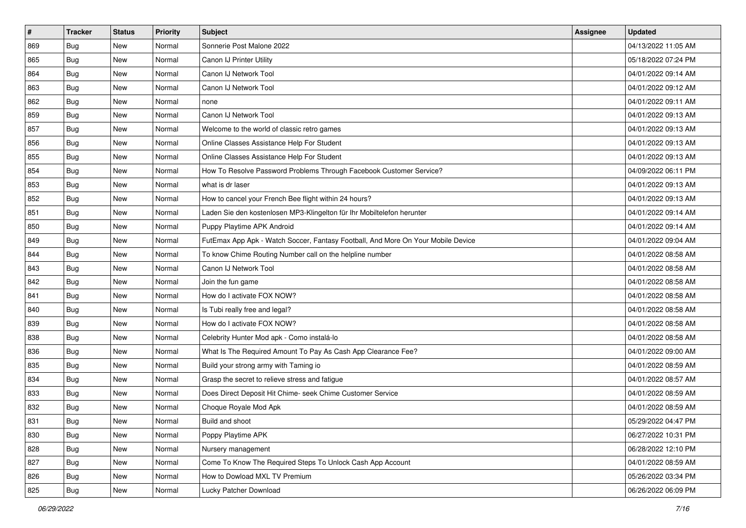| $\sharp$ | <b>Tracker</b> | <b>Status</b> | Priority | <b>Subject</b>                                                                   | <b>Assignee</b> | <b>Updated</b>      |
|----------|----------------|---------------|----------|----------------------------------------------------------------------------------|-----------------|---------------------|
| 869      | Bug            | New           | Normal   | Sonnerie Post Malone 2022                                                        |                 | 04/13/2022 11:05 AM |
| 865      | Bug            | New           | Normal   | Canon IJ Printer Utility                                                         |                 | 05/18/2022 07:24 PM |
| 864      | Bug            | New           | Normal   | Canon IJ Network Tool                                                            |                 | 04/01/2022 09:14 AM |
| 863      | Bug            | <b>New</b>    | Normal   | Canon IJ Network Tool                                                            |                 | 04/01/2022 09:12 AM |
| 862      | Bug            | New           | Normal   | none                                                                             |                 | 04/01/2022 09:11 AM |
| 859      | <b>Bug</b>     | <b>New</b>    | Normal   | Canon IJ Network Tool                                                            |                 | 04/01/2022 09:13 AM |
| 857      | Bug            | New           | Normal   | Welcome to the world of classic retro games                                      |                 | 04/01/2022 09:13 AM |
| 856      | <b>Bug</b>     | New           | Normal   | Online Classes Assistance Help For Student                                       |                 | 04/01/2022 09:13 AM |
| 855      | Bug            | New           | Normal   | Online Classes Assistance Help For Student                                       |                 | 04/01/2022 09:13 AM |
| 854      | Bug            | New           | Normal   | How To Resolve Password Problems Through Facebook Customer Service?              |                 | 04/09/2022 06:11 PM |
| 853      | <b>Bug</b>     | New           | Normal   | what is dr laser                                                                 |                 | 04/01/2022 09:13 AM |
| 852      | Bug            | New           | Normal   | How to cancel your French Bee flight within 24 hours?                            |                 | 04/01/2022 09:13 AM |
| 851      | Bug            | New           | Normal   | Laden Sie den kostenlosen MP3-Klingelton für Ihr Mobiltelefon herunter           |                 | 04/01/2022 09:14 AM |
| 850      | <b>Bug</b>     | New           | Normal   | Puppy Playtime APK Android                                                       |                 | 04/01/2022 09:14 AM |
| 849      | <b>Bug</b>     | <b>New</b>    | Normal   | FutEmax App Apk - Watch Soccer, Fantasy Football, And More On Your Mobile Device |                 | 04/01/2022 09:04 AM |
| 844      | Bug            | New           | Normal   | To know Chime Routing Number call on the helpline number                         |                 | 04/01/2022 08:58 AM |
| 843      | <b>Bug</b>     | <b>New</b>    | Normal   | Canon IJ Network Tool                                                            |                 | 04/01/2022 08:58 AM |
| 842      | Bug            | New           | Normal   | Join the fun game                                                                |                 | 04/01/2022 08:58 AM |
| 841      | Bug            | New           | Normal   | How do I activate FOX NOW?                                                       |                 | 04/01/2022 08:58 AM |
| 840      | Bug            | New           | Normal   | Is Tubi really free and legal?                                                   |                 | 04/01/2022 08:58 AM |
| 839      | Bug            | New           | Normal   | How do I activate FOX NOW?                                                       |                 | 04/01/2022 08:58 AM |
| 838      | Bug            | New           | Normal   | Celebrity Hunter Mod apk - Como instalá-lo                                       |                 | 04/01/2022 08:58 AM |
| 836      | Bug            | New           | Normal   | What Is The Required Amount To Pay As Cash App Clearance Fee?                    |                 | 04/01/2022 09:00 AM |
| 835      | <b>Bug</b>     | New           | Normal   | Build your strong army with Taming io                                            |                 | 04/01/2022 08:59 AM |
| 834      | Bug            | New           | Normal   | Grasp the secret to relieve stress and fatigue                                   |                 | 04/01/2022 08:57 AM |
| 833      | Bug            | New           | Normal   | Does Direct Deposit Hit Chime- seek Chime Customer Service                       |                 | 04/01/2022 08:59 AM |
| 832      | <b>Bug</b>     | New           | Normal   | Choque Royale Mod Apk                                                            |                 | 04/01/2022 08:59 AM |
| 831      | I Bug          | New           | Normal   | Build and shoot                                                                  |                 | 05/29/2022 04:47 PM |
| 830      | <b>Bug</b>     | New           | Normal   | Poppy Playtime APK                                                               |                 | 06/27/2022 10:31 PM |
| 828      | <b>Bug</b>     | New           | Normal   | Nursery management                                                               |                 | 06/28/2022 12:10 PM |
| 827      | Bug            | New           | Normal   | Come To Know The Required Steps To Unlock Cash App Account                       |                 | 04/01/2022 08:59 AM |
| 826      | <b>Bug</b>     | New           | Normal   | How to Dowload MXL TV Premium                                                    |                 | 05/26/2022 03:34 PM |
| 825      | <b>Bug</b>     | New           | Normal   | Lucky Patcher Download                                                           |                 | 06/26/2022 06:09 PM |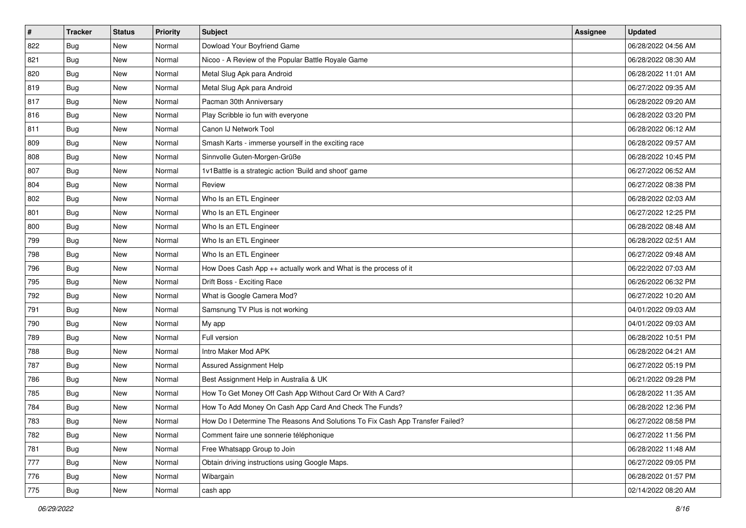| #   | <b>Tracker</b> | <b>Status</b> | <b>Priority</b> | <b>Subject</b>                                                                | <b>Assignee</b> | <b>Updated</b>      |
|-----|----------------|---------------|-----------------|-------------------------------------------------------------------------------|-----------------|---------------------|
| 822 | <b>Bug</b>     | New           | Normal          | Dowload Your Boyfriend Game                                                   |                 | 06/28/2022 04:56 AM |
| 821 | Bug            | New           | Normal          | Nicoo - A Review of the Popular Battle Royale Game                            |                 | 06/28/2022 08:30 AM |
| 820 | Bug            | New           | Normal          | Metal Slug Apk para Android                                                   |                 | 06/28/2022 11:01 AM |
| 819 | <b>Bug</b>     | <b>New</b>    | Normal          | Metal Slug Apk para Android                                                   |                 | 06/27/2022 09:35 AM |
| 817 | Bug            | New           | Normal          | Pacman 30th Anniversary                                                       |                 | 06/28/2022 09:20 AM |
| 816 | <b>Bug</b>     | New           | Normal          | Play Scribble io fun with everyone                                            |                 | 06/28/2022 03:20 PM |
| 811 | Bug            | New           | Normal          | Canon IJ Network Tool                                                         |                 | 06/28/2022 06:12 AM |
| 809 | <b>Bug</b>     | New           | Normal          | Smash Karts - immerse yourself in the exciting race                           |                 | 06/28/2022 09:57 AM |
| 808 | Bug            | New           | Normal          | Sinnvolle Guten-Morgen-Grüße                                                  |                 | 06/28/2022 10:45 PM |
| 807 | Bug            | New           | Normal          | 1v1Battle is a strategic action 'Build and shoot' game                        |                 | 06/27/2022 06:52 AM |
| 804 | <b>Bug</b>     | New           | Normal          | Review                                                                        |                 | 06/27/2022 08:38 PM |
| 802 | Bug            | New           | Normal          | Who Is an ETL Engineer                                                        |                 | 06/28/2022 02:03 AM |
| 801 | Bug            | New           | Normal          | Who Is an ETL Engineer                                                        |                 | 06/27/2022 12:25 PM |
| 800 | <b>Bug</b>     | New           | Normal          | Who Is an ETL Engineer                                                        |                 | 06/28/2022 08:48 AM |
| 799 | Bug            | <b>New</b>    | Normal          | Who Is an ETL Engineer                                                        |                 | 06/28/2022 02:51 AM |
| 798 | Bug            | New           | Normal          | Who Is an ETL Engineer                                                        |                 | 06/27/2022 09:48 AM |
| 796 | <b>Bug</b>     | <b>New</b>    | Normal          | How Does Cash App ++ actually work and What is the process of it              |                 | 06/22/2022 07:03 AM |
| 795 | Bug            | New           | Normal          | Drift Boss - Exciting Race                                                    |                 | 06/26/2022 06:32 PM |
| 792 | Bug            | New           | Normal          | What is Google Camera Mod?                                                    |                 | 06/27/2022 10:20 AM |
| 791 | Bug            | New           | Normal          | Samsnung TV Plus is not working                                               |                 | 04/01/2022 09:03 AM |
| 790 | Bug            | New           | Normal          | My app                                                                        |                 | 04/01/2022 09:03 AM |
| 789 | Bug            | New           | Normal          | Full version                                                                  |                 | 06/28/2022 10:51 PM |
| 788 | Bug            | New           | Normal          | Intro Maker Mod APK                                                           |                 | 06/28/2022 04:21 AM |
| 787 | <b>Bug</b>     | New           | Normal          | Assured Assignment Help                                                       |                 | 06/27/2022 05:19 PM |
| 786 | Bug            | New           | Normal          | Best Assignment Help in Australia & UK                                        |                 | 06/21/2022 09:28 PM |
| 785 | Bug            | New           | Normal          | How To Get Money Off Cash App Without Card Or With A Card?                    |                 | 06/28/2022 11:35 AM |
| 784 | <b>Bug</b>     | New           | Normal          | How To Add Money On Cash App Card And Check The Funds?                        |                 | 06/28/2022 12:36 PM |
| 783 | <b>Bug</b>     | New           | Normal          | How Do I Determine The Reasons And Solutions To Fix Cash App Transfer Failed? |                 | 06/27/2022 08:58 PM |
| 782 | <b>Bug</b>     | New           | Normal          | Comment faire une sonnerie téléphonique                                       |                 | 06/27/2022 11:56 PM |
| 781 | <b>Bug</b>     | New           | Normal          | Free Whatsapp Group to Join                                                   |                 | 06/28/2022 11:48 AM |
| 777 | Bug            | New           | Normal          | Obtain driving instructions using Google Maps.                                |                 | 06/27/2022 09:05 PM |
| 776 | <b>Bug</b>     | New           | Normal          | Wibargain                                                                     |                 | 06/28/2022 01:57 PM |
| 775 | <b>Bug</b>     | New           | Normal          | cash app                                                                      |                 | 02/14/2022 08:20 AM |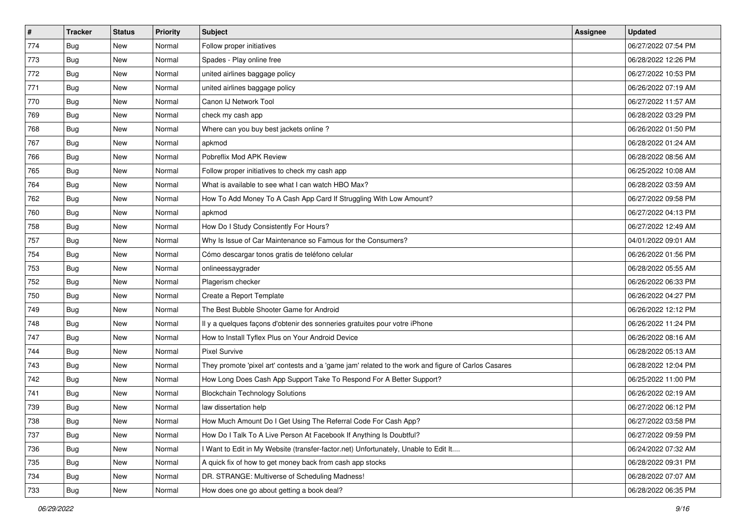| $\vert$ # | <b>Tracker</b> | <b>Status</b> | Priority | Subject                                                                                             | <b>Assignee</b> | <b>Updated</b>      |
|-----------|----------------|---------------|----------|-----------------------------------------------------------------------------------------------------|-----------------|---------------------|
| 774       | <b>Bug</b>     | New           | Normal   | Follow proper initiatives                                                                           |                 | 06/27/2022 07:54 PM |
| 773       | <b>Bug</b>     | New           | Normal   | Spades - Play online free                                                                           |                 | 06/28/2022 12:26 PM |
| 772       | <b>Bug</b>     | New           | Normal   | united airlines baggage policy                                                                      |                 | 06/27/2022 10:53 PM |
| 771       | <b>Bug</b>     | New           | Normal   | united airlines baggage policy                                                                      |                 | 06/26/2022 07:19 AM |
| 770       | Bug            | <b>New</b>    | Normal   | Canon IJ Network Tool                                                                               |                 | 06/27/2022 11:57 AM |
| 769       | <b>Bug</b>     | New           | Normal   | check my cash app                                                                                   |                 | 06/28/2022 03:29 PM |
| 768       | Bug            | New           | Normal   | Where can you buy best jackets online?                                                              |                 | 06/26/2022 01:50 PM |
| 767       | Bug            | New           | Normal   | apkmod                                                                                              |                 | 06/28/2022 01:24 AM |
| 766       | <b>Bug</b>     | New           | Normal   | Pobreflix Mod APK Review                                                                            |                 | 06/28/2022 08:56 AM |
| 765       | Bug            | New           | Normal   | Follow proper initiatives to check my cash app                                                      |                 | 06/25/2022 10:08 AM |
| 764       | <b>Bug</b>     | New           | Normal   | What is available to see what I can watch HBO Max?                                                  |                 | 06/28/2022 03:59 AM |
| 762       | Bug            | New           | Normal   | How To Add Money To A Cash App Card If Struggling With Low Amount?                                  |                 | 06/27/2022 09:58 PM |
| 760       | Bug            | New           | Normal   | apkmod                                                                                              |                 | 06/27/2022 04:13 PM |
| 758       | <b>Bug</b>     | New           | Normal   | How Do I Study Consistently For Hours?                                                              |                 | 06/27/2022 12:49 AM |
| 757       | <b>Bug</b>     | New           | Normal   | Why Is Issue of Car Maintenance so Famous for the Consumers?                                        |                 | 04/01/2022 09:01 AM |
| 754       | Bug            | New           | Normal   | Cómo descargar tonos gratis de teléfono celular                                                     |                 | 06/26/2022 01:56 PM |
| 753       | <b>Bug</b>     | New           | Normal   | onlineessaygrader                                                                                   |                 | 06/28/2022 05:55 AM |
| 752       | <b>Bug</b>     | New           | Normal   | Plagerism checker                                                                                   |                 | 06/26/2022 06:33 PM |
| 750       | Bug            | New           | Normal   | Create a Report Template                                                                            |                 | 06/26/2022 04:27 PM |
| 749       | <b>Bug</b>     | New           | Normal   | The Best Bubble Shooter Game for Android                                                            |                 | 06/26/2022 12:12 PM |
| 748       | Bug            | New           | Normal   | Il y a quelques façons d'obtenir des sonneries gratuites pour votre iPhone                          |                 | 06/26/2022 11:24 PM |
| 747       | <b>Bug</b>     | New           | Normal   | How to Install Tyflex Plus on Your Android Device                                                   |                 | 06/26/2022 08:16 AM |
| 744       | Bug            | <b>New</b>    | Normal   | <b>Pixel Survive</b>                                                                                |                 | 06/28/2022 05:13 AM |
| 743       | <b>Bug</b>     | New           | Normal   | They promote 'pixel art' contests and a 'game jam' related to the work and figure of Carlos Casares |                 | 06/28/2022 12:04 PM |
| 742       | <b>Bug</b>     | New           | Normal   | How Long Does Cash App Support Take To Respond For A Better Support?                                |                 | 06/25/2022 11:00 PM |
| 741       | Bug            | New           | Normal   | <b>Blockchain Technology Solutions</b>                                                              |                 | 06/26/2022 02:19 AM |
| 739       | <b>Bug</b>     | New           | Normal   | law dissertation help                                                                               |                 | 06/27/2022 06:12 PM |
| 738       | <b>Bug</b>     | New           | Normal   | How Much Amount Do I Get Using The Referral Code For Cash App?                                      |                 | 06/27/2022 03:58 PM |
| 737       | Bug            | New           | Normal   | How Do I Talk To A Live Person At Facebook If Anything Is Doubtful?                                 |                 | 06/27/2022 09:59 PM |
| 736       | Bug            | New           | Normal   | Want to Edit in My Website (transfer-factor.net) Unfortunately, Unable to Edit It                   |                 | 06/24/2022 07:32 AM |
| 735       | <b>Bug</b>     | New           | Normal   | A quick fix of how to get money back from cash app stocks                                           |                 | 06/28/2022 09:31 PM |
| 734       | <b>Bug</b>     | New           | Normal   | DR. STRANGE: Multiverse of Scheduling Madness!                                                      |                 | 06/28/2022 07:07 AM |
| 733       | <b>Bug</b>     | New           | Normal   | How does one go about getting a book deal?                                                          |                 | 06/28/2022 06:35 PM |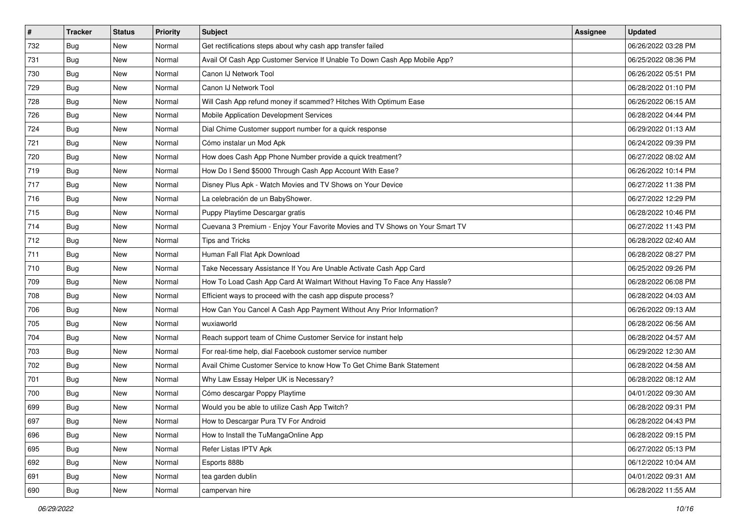| $\vert$ # | <b>Tracker</b> | <b>Status</b> | <b>Priority</b> | Subject                                                                      | <b>Assignee</b> | <b>Updated</b>      |
|-----------|----------------|---------------|-----------------|------------------------------------------------------------------------------|-----------------|---------------------|
| 732       | Bug            | New           | Normal          | Get rectifications steps about why cash app transfer failed                  |                 | 06/26/2022 03:28 PM |
| 731       | <b>Bug</b>     | New           | Normal          | Avail Of Cash App Customer Service If Unable To Down Cash App Mobile App?    |                 | 06/25/2022 08:36 PM |
| 730       | <b>Bug</b>     | New           | Normal          | Canon IJ Network Tool                                                        |                 | 06/26/2022 05:51 PM |
| 729       | <b>Bug</b>     | New           | Normal          | Canon IJ Network Tool                                                        |                 | 06/28/2022 01:10 PM |
| 728       | <b>Bug</b>     | New           | Normal          | Will Cash App refund money if scammed? Hitches With Optimum Ease             |                 | 06/26/2022 06:15 AM |
| 726       | <b>Bug</b>     | New           | Normal          | Mobile Application Development Services                                      |                 | 06/28/2022 04:44 PM |
| 724       | Bug            | New           | Normal          | Dial Chime Customer support number for a quick response                      |                 | 06/29/2022 01:13 AM |
| 721       | <b>Bug</b>     | New           | Normal          | Cómo instalar un Mod Apk                                                     |                 | 06/24/2022 09:39 PM |
| 720       | <b>Bug</b>     | New           | Normal          | How does Cash App Phone Number provide a quick treatment?                    |                 | 06/27/2022 08:02 AM |
| 719       | Bug            | New           | Normal          | How Do I Send \$5000 Through Cash App Account With Ease?                     |                 | 06/26/2022 10:14 PM |
| 717       | <b>Bug</b>     | New           | Normal          | Disney Plus Apk - Watch Movies and TV Shows on Your Device                   |                 | 06/27/2022 11:38 PM |
| 716       | Bug            | New           | Normal          | La celebración de un BabyShower.                                             |                 | 06/27/2022 12:29 PM |
| 715       | Bug            | New           | Normal          | Puppy Playtime Descargar gratis                                              |                 | 06/28/2022 10:46 PM |
| 714       | <b>Bug</b>     | New           | Normal          | Cuevana 3 Premium - Enjoy Your Favorite Movies and TV Shows on Your Smart TV |                 | 06/27/2022 11:43 PM |
| 712       | <b>Bug</b>     | New           | Normal          | <b>Tips and Tricks</b>                                                       |                 | 06/28/2022 02:40 AM |
| 711       | Bug            | New           | Normal          | Human Fall Flat Apk Download                                                 |                 | 06/28/2022 08:27 PM |
| 710       | <b>Bug</b>     | New           | Normal          | Take Necessary Assistance If You Are Unable Activate Cash App Card           |                 | 06/25/2022 09:26 PM |
| 709       | Bug            | New           | Normal          | How To Load Cash App Card At Walmart Without Having To Face Any Hassle?      |                 | 06/28/2022 06:08 PM |
| 708       | Bug            | New           | Normal          | Efficient ways to proceed with the cash app dispute process?                 |                 | 06/28/2022 04:03 AM |
| 706       | <b>Bug</b>     | New           | Normal          | How Can You Cancel A Cash App Payment Without Any Prior Information?         |                 | 06/26/2022 09:13 AM |
| 705       | Bug            | New           | Normal          | wuxiaworld                                                                   |                 | 06/28/2022 06:56 AM |
| 704       | <b>Bug</b>     | New           | Normal          | Reach support team of Chime Customer Service for instant help                |                 | 06/28/2022 04:57 AM |
| 703       | Bug            | New           | Normal          | For real-time help, dial Facebook customer service number                    |                 | 06/29/2022 12:30 AM |
| 702       | <b>Bug</b>     | New           | Normal          | Avail Chime Customer Service to know How To Get Chime Bank Statement         |                 | 06/28/2022 04:58 AM |
| 701       | <b>Bug</b>     | New           | Normal          | Why Law Essay Helper UK is Necessary?                                        |                 | 06/28/2022 08:12 AM |
| 700       | Bug            | New           | Normal          | Cómo descargar Poppy Playtime                                                |                 | 04/01/2022 09:30 AM |
| 699       | <b>Bug</b>     | New           | Normal          | Would you be able to utilize Cash App Twitch?                                |                 | 06/28/2022 09:31 PM |
| 697       | <b>Bug</b>     | New           | Normal          | How to Descargar Pura TV For Android                                         |                 | 06/28/2022 04:43 PM |
| 696       | Bug            | New           | Normal          | How to Install the TuMangaOnline App                                         |                 | 06/28/2022 09:15 PM |
| 695       | Bug            | New           | Normal          | Refer Listas IPTV Apk                                                        |                 | 06/27/2022 05:13 PM |
| 692       | Bug            | New           | Normal          | Esports 888b                                                                 |                 | 06/12/2022 10:04 AM |
| 691       | Bug            | New           | Normal          | tea garden dublin                                                            |                 | 04/01/2022 09:31 AM |
| 690       | <b>Bug</b>     | New           | Normal          | campervan hire                                                               |                 | 06/28/2022 11:55 AM |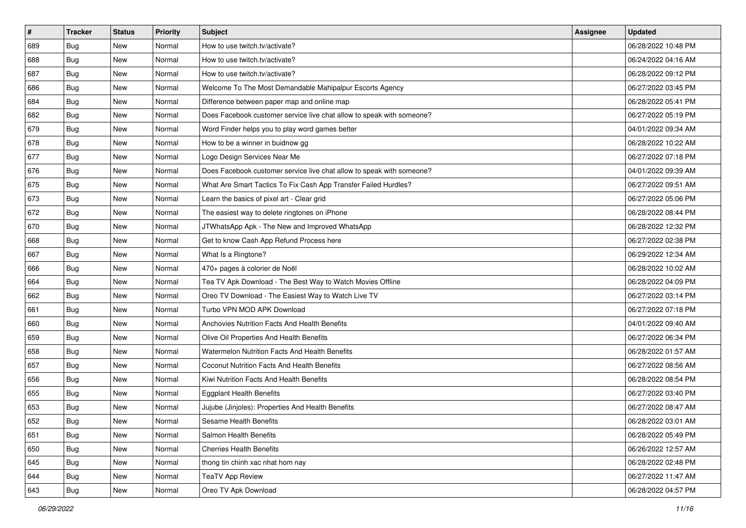| $\sharp$ | <b>Tracker</b> | <b>Status</b> | Priority | <b>Subject</b>                                                        | <b>Assignee</b> | <b>Updated</b>      |
|----------|----------------|---------------|----------|-----------------------------------------------------------------------|-----------------|---------------------|
| 689      | <b>Bug</b>     | New           | Normal   | How to use twitch.tv/activate?                                        |                 | 06/28/2022 10:48 PM |
| 688      | Bug            | New           | Normal   | How to use twitch.tv/activate?                                        |                 | 06/24/2022 04:16 AM |
| 687      | Bug            | New           | Normal   | How to use twitch.tv/activate?                                        |                 | 06/28/2022 09:12 PM |
| 686      | Bug            | <b>New</b>    | Normal   | Welcome To The Most Demandable Mahipalpur Escorts Agency              |                 | 06/27/2022 03:45 PM |
| 684      | Bug            | New           | Normal   | Difference between paper map and online map                           |                 | 06/28/2022 05:41 PM |
| 682      | <b>Bug</b>     | <b>New</b>    | Normal   | Does Facebook customer service live chat allow to speak with someone? |                 | 06/27/2022 05:19 PM |
| 679      | Bug            | New           | Normal   | Word Finder helps you to play word games better                       |                 | 04/01/2022 09:34 AM |
| 678      | <b>Bug</b>     | New           | Normal   | How to be a winner in buidnow gg                                      |                 | 06/28/2022 10:22 AM |
| 677      | Bug            | New           | Normal   | Logo Design Services Near Me                                          |                 | 06/27/2022 07:18 PM |
| 676      | Bug            | New           | Normal   | Does Facebook customer service live chat allow to speak with someone? |                 | 04/01/2022 09:39 AM |
| 675      | <b>Bug</b>     | New           | Normal   | What Are Smart Tactics To Fix Cash App Transfer Failed Hurdles?       |                 | 06/27/2022 09:51 AM |
| 673      | Bug            | New           | Normal   | Learn the basics of pixel art - Clear grid                            |                 | 06/27/2022 05:06 PM |
| 672      | Bug            | New           | Normal   | The easiest way to delete ringtones on iPhone                         |                 | 06/28/2022 08:44 PM |
| 670      | <b>Bug</b>     | New           | Normal   | JTWhatsApp Apk - The New and Improved WhatsApp                        |                 | 06/28/2022 12:32 PM |
| 668      | <b>Bug</b>     | <b>New</b>    | Normal   | Get to know Cash App Refund Process here                              |                 | 06/27/2022 02:38 PM |
| 667      | Bug            | New           | Normal   | What Is a Ringtone?                                                   |                 | 06/29/2022 12:34 AM |
| 666      | <b>Bug</b>     | <b>New</b>    | Normal   | 470+ pages à colorier de Noël                                         |                 | 06/28/2022 10:02 AM |
| 664      | Bug            | New           | Normal   | Tea TV Apk Download - The Best Way to Watch Movies Offline            |                 | 06/28/2022 04:09 PM |
| 662      | Bug            | New           | Normal   | Oreo TV Download - The Easiest Way to Watch Live TV                   |                 | 06/27/2022 03:14 PM |
| 661      | Bug            | <b>New</b>    | Normal   | Turbo VPN MOD APK Download                                            |                 | 06/27/2022 07:18 PM |
| 660      | Bug            | New           | Normal   | Anchovies Nutrition Facts And Health Benefits                         |                 | 04/01/2022 09:40 AM |
| 659      | Bug            | New           | Normal   | Olive Oil Properties And Health Benefits                              |                 | 06/27/2022 06:34 PM |
| 658      | Bug            | New           | Normal   | Watermelon Nutrition Facts And Health Benefits                        |                 | 06/28/2022 01:57 AM |
| 657      | <b>Bug</b>     | New           | Normal   | Coconut Nutrition Facts And Health Benefits                           |                 | 06/27/2022 08:56 AM |
| 656      | Bug            | New           | Normal   | Kiwi Nutrition Facts And Health Benefits                              |                 | 06/28/2022 08:54 PM |
| 655      | Bug            | New           | Normal   | <b>Eggplant Health Benefits</b>                                       |                 | 06/27/2022 03:40 PM |
| 653      | <b>Bug</b>     | New           | Normal   | Jujube (Jinjoles): Properties And Health Benefits                     |                 | 06/27/2022 08:47 AM |
| 652      | <b>Bug</b>     | New           | Normal   | Sesame Health Benefits                                                |                 | 06/28/2022 03:01 AM |
| 651      | <b>Bug</b>     | New           | Normal   | Salmon Health Benefits                                                |                 | 06/28/2022 05:49 PM |
| 650      | <b>Bug</b>     | New           | Normal   | <b>Cherries Health Benefits</b>                                       |                 | 06/26/2022 12:57 AM |
| 645      | Bug            | New           | Normal   | thong tin chinh xac nhat hom nay                                      |                 | 06/28/2022 02:48 PM |
| 644      | <b>Bug</b>     | New           | Normal   | <b>TeaTV App Review</b>                                               |                 | 06/27/2022 11:47 AM |
| 643      | <b>Bug</b>     | New           | Normal   | Oreo TV Apk Download                                                  |                 | 06/28/2022 04:57 PM |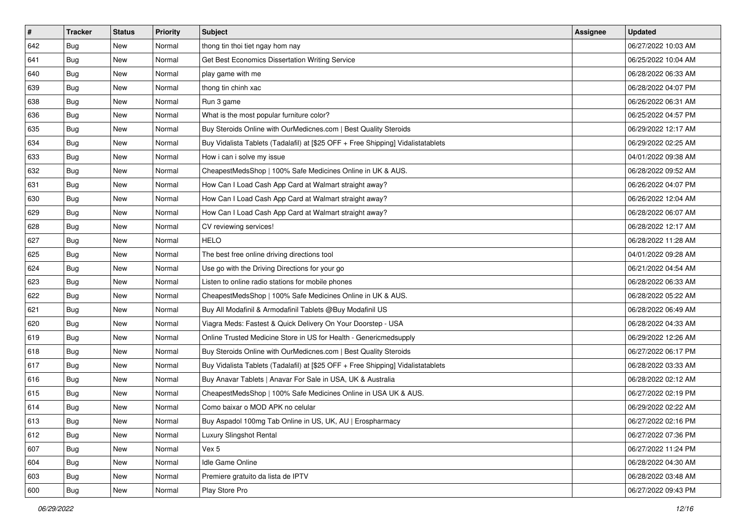| $\vert$ # | <b>Tracker</b> | <b>Status</b> | Priority | Subject                                                                          | Assignee | <b>Updated</b>      |
|-----------|----------------|---------------|----------|----------------------------------------------------------------------------------|----------|---------------------|
| 642       | <b>Bug</b>     | New           | Normal   | thong tin thoi tiet ngay hom nay                                                 |          | 06/27/2022 10:03 AM |
| 641       | Bug            | New           | Normal   | Get Best Economics Dissertation Writing Service                                  |          | 06/25/2022 10:04 AM |
| 640       | <b>Bug</b>     | New           | Normal   | play game with me                                                                |          | 06/28/2022 06:33 AM |
| 639       | Bug            | New           | Normal   | thong tin chinh xac                                                              |          | 06/28/2022 04:07 PM |
| 638       | Bug            | New           | Normal   | Run 3 game                                                                       |          | 06/26/2022 06:31 AM |
| 636       | <b>Bug</b>     | New           | Normal   | What is the most popular furniture color?                                        |          | 06/25/2022 04:57 PM |
| 635       | <b>Bug</b>     | New           | Normal   | Buy Steroids Online with OurMedicnes.com   Best Quality Steroids                 |          | 06/29/2022 12:17 AM |
| 634       | <b>Bug</b>     | New           | Normal   | Buy Vidalista Tablets (Tadalafil) at [\$25 OFF + Free Shipping] Vidalistatablets |          | 06/29/2022 02:25 AM |
| 633       | Bug            | New           | Normal   | How i can i solve my issue                                                       |          | 04/01/2022 09:38 AM |
| 632       | Bug            | New           | Normal   | CheapestMedsShop   100% Safe Medicines Online in UK & AUS.                       |          | 06/28/2022 09:52 AM |
| 631       | <b>Bug</b>     | New           | Normal   | How Can I Load Cash App Card at Walmart straight away?                           |          | 06/26/2022 04:07 PM |
| 630       | <b>Bug</b>     | New           | Normal   | How Can I Load Cash App Card at Walmart straight away?                           |          | 06/26/2022 12:04 AM |
| 629       | <b>Bug</b>     | <b>New</b>    | Normal   | How Can I Load Cash App Card at Walmart straight away?                           |          | 06/28/2022 06:07 AM |
| 628       | <b>Bug</b>     | New           | Normal   | CV reviewing services!                                                           |          | 06/28/2022 12:17 AM |
| 627       | <b>Bug</b>     | New           | Normal   | <b>HELO</b>                                                                      |          | 06/28/2022 11:28 AM |
| 625       | <b>Bug</b>     | New           | Normal   | The best free online driving directions tool                                     |          | 04/01/2022 09:28 AM |
| 624       | <b>Bug</b>     | New           | Normal   | Use go with the Driving Directions for your go                                   |          | 06/21/2022 04:54 AM |
| 623       | Bug            | New           | Normal   | Listen to online radio stations for mobile phones                                |          | 06/28/2022 06:33 AM |
| 622       | <b>Bug</b>     | New           | Normal   | CheapestMedsShop   100% Safe Medicines Online in UK & AUS.                       |          | 06/28/2022 05:22 AM |
| 621       | <b>Bug</b>     | New           | Normal   | Buy All Modafinil & Armodafinil Tablets @Buy Modafinil US                        |          | 06/28/2022 06:49 AM |
| 620       | <b>Bug</b>     | New           | Normal   | Viagra Meds: Fastest & Quick Delivery On Your Doorstep - USA                     |          | 06/28/2022 04:33 AM |
| 619       | <b>Bug</b>     | New           | Normal   | Online Trusted Medicine Store in US for Health - Genericmedsupply                |          | 06/29/2022 12:26 AM |
| 618       | Bug            | New           | Normal   | Buy Steroids Online with OurMedicnes.com   Best Quality Steroids                 |          | 06/27/2022 06:17 PM |
| 617       | <b>Bug</b>     | New           | Normal   | Buy Vidalista Tablets (Tadalafil) at [\$25 OFF + Free Shipping] Vidalistatablets |          | 06/28/2022 03:33 AM |
| 616       | <b>Bug</b>     | New           | Normal   | Buy Anavar Tablets   Anavar For Sale in USA, UK & Australia                      |          | 06/28/2022 02:12 AM |
| 615       | <b>Bug</b>     | New           | Normal   | CheapestMedsShop   100% Safe Medicines Online in USA UK & AUS.                   |          | 06/27/2022 02:19 PM |
| 614       | <b>Bug</b>     | New           | Normal   | Como baixar o MOD APK no celular                                                 |          | 06/29/2022 02:22 AM |
| 613       | <b>Bug</b>     | New           | Normal   | Buy Aspadol 100mg Tab Online in US, UK, AU   Erospharmacy                        |          | 06/27/2022 02:16 PM |
| 612       | Bug            | New           | Normal   | Luxury Slingshot Rental                                                          |          | 06/27/2022 07:36 PM |
| 607       | <b>Bug</b>     | New           | Normal   | Vex 5                                                                            |          | 06/27/2022 11:24 PM |
| 604       | Bug            | New           | Normal   | Idle Game Online                                                                 |          | 06/28/2022 04:30 AM |
| 603       | <b>Bug</b>     | New           | Normal   | Premiere gratuito da lista de IPTV                                               |          | 06/28/2022 03:48 AM |
| 600       | <b>Bug</b>     | New           | Normal   | Play Store Pro                                                                   |          | 06/27/2022 09:43 PM |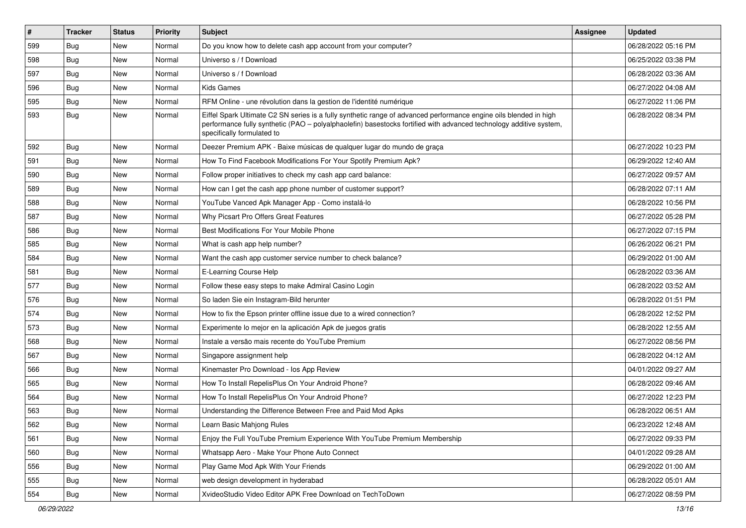| #   | <b>Tracker</b> | <b>Status</b> | Priority | Subject                                                                                                                                                                                                                                                               | <b>Assignee</b> | <b>Updated</b>      |
|-----|----------------|---------------|----------|-----------------------------------------------------------------------------------------------------------------------------------------------------------------------------------------------------------------------------------------------------------------------|-----------------|---------------------|
| 599 | Bug            | New           | Normal   | Do you know how to delete cash app account from your computer?                                                                                                                                                                                                        |                 | 06/28/2022 05:16 PM |
| 598 | Bug            | <b>New</b>    | Normal   | Universo s / f Download                                                                                                                                                                                                                                               |                 | 06/25/2022 03:38 PM |
| 597 | Bug            | New           | Normal   | Universo s / f Download                                                                                                                                                                                                                                               |                 | 06/28/2022 03:36 AM |
| 596 | Bug            | <b>New</b>    | Normal   | <b>Kids Games</b>                                                                                                                                                                                                                                                     |                 | 06/27/2022 04:08 AM |
| 595 | Bug            | <b>New</b>    | Normal   | RFM Online - une révolution dans la gestion de l'identité numérique                                                                                                                                                                                                   |                 | 06/27/2022 11:06 PM |
| 593 | <b>Bug</b>     | <b>New</b>    | Normal   | Eiffel Spark Ultimate C2 SN series is a fully synthetic range of advanced performance engine oils blended in high<br>performance fully synthetic (PAO - polyalphaolefin) basestocks fortified with advanced technology additive system,<br>specifically formulated to |                 | 06/28/2022 08:34 PM |
| 592 | Bug            | New           | Normal   | Deezer Premium APK - Baixe músicas de qualquer lugar do mundo de graça                                                                                                                                                                                                |                 | 06/27/2022 10:23 PM |
| 591 | Bug            | New           | Normal   | How To Find Facebook Modifications For Your Spotify Premium Apk?                                                                                                                                                                                                      |                 | 06/29/2022 12:40 AM |
| 590 | Bug            | New           | Normal   | Follow proper initiatives to check my cash app card balance:                                                                                                                                                                                                          |                 | 06/27/2022 09:57 AM |
| 589 | <b>Bug</b>     | <b>New</b>    | Normal   | How can I get the cash app phone number of customer support?                                                                                                                                                                                                          |                 | 06/28/2022 07:11 AM |
| 588 | Bug            | <b>New</b>    | Normal   | YouTube Vanced Apk Manager App - Como instalá-lo                                                                                                                                                                                                                      |                 | 06/28/2022 10:56 PM |
| 587 | <b>Bug</b>     | <b>New</b>    | Normal   | Why Picsart Pro Offers Great Features                                                                                                                                                                                                                                 |                 | 06/27/2022 05:28 PM |
| 586 | Bug            | New           | Normal   | Best Modifications For Your Mobile Phone                                                                                                                                                                                                                              |                 | 06/27/2022 07:15 PM |
| 585 | Bug            | <b>New</b>    | Normal   | What is cash app help number?                                                                                                                                                                                                                                         |                 | 06/26/2022 06:21 PM |
| 584 | Bug            | New           | Normal   | Want the cash app customer service number to check balance?                                                                                                                                                                                                           |                 | 06/29/2022 01:00 AM |
| 581 | Bug            | New           | Normal   | E-Learning Course Help                                                                                                                                                                                                                                                |                 | 06/28/2022 03:36 AM |
| 577 | Bug            | New           | Normal   | Follow these easy steps to make Admiral Casino Login                                                                                                                                                                                                                  |                 | 06/28/2022 03:52 AM |
| 576 | Bug            | New           | Normal   | So laden Sie ein Instagram-Bild herunter                                                                                                                                                                                                                              |                 | 06/28/2022 01:51 PM |
| 574 | Bug            | New           | Normal   | How to fix the Epson printer offline issue due to a wired connection?                                                                                                                                                                                                 |                 | 06/28/2022 12:52 PM |
| 573 | Bug            | New           | Normal   | Experimente lo mejor en la aplicación Apk de juegos gratis                                                                                                                                                                                                            |                 | 06/28/2022 12:55 AM |
| 568 | <b>Bug</b>     | <b>New</b>    | Normal   | Instale a versão mais recente do YouTube Premium                                                                                                                                                                                                                      |                 | 06/27/2022 08:56 PM |
| 567 | Bug            | New           | Normal   | Singapore assignment help                                                                                                                                                                                                                                             |                 | 06/28/2022 04:12 AM |
| 566 | <b>Bug</b>     | <b>New</b>    | Normal   | Kinemaster Pro Download - los App Review                                                                                                                                                                                                                              |                 | 04/01/2022 09:27 AM |
| 565 | Bug            | New           | Normal   | How To Install RepelisPlus On Your Android Phone?                                                                                                                                                                                                                     |                 | 06/28/2022 09:46 AM |
| 564 | <b>Bug</b>     | New           | Normal   | How To Install RepelisPlus On Your Android Phone?                                                                                                                                                                                                                     |                 | 06/27/2022 12:23 PM |
| 563 | <b>Bug</b>     | <b>New</b>    | Normal   | Understanding the Difference Between Free and Paid Mod Apks                                                                                                                                                                                                           |                 | 06/28/2022 06:51 AM |
| 562 | Bug            | New           | Normal   | Learn Basic Mahjong Rules                                                                                                                                                                                                                                             |                 | 06/23/2022 12:48 AM |
| 561 | Bug            | New           | Normal   | Enjoy the Full YouTube Premium Experience With YouTube Premium Membership                                                                                                                                                                                             |                 | 06/27/2022 09:33 PM |
| 560 | Bug            | New           | Normal   | Whatsapp Aero - Make Your Phone Auto Connect                                                                                                                                                                                                                          |                 | 04/01/2022 09:28 AM |
| 556 | <b>Bug</b>     | New           | Normal   | Play Game Mod Apk With Your Friends                                                                                                                                                                                                                                   |                 | 06/29/2022 01:00 AM |
| 555 | Bug            | New           | Normal   | web design development in hyderabad                                                                                                                                                                                                                                   |                 | 06/28/2022 05:01 AM |
| 554 | <b>Bug</b>     | New           | Normal   | XvideoStudio Video Editor APK Free Download on TechToDown                                                                                                                                                                                                             |                 | 06/27/2022 08:59 PM |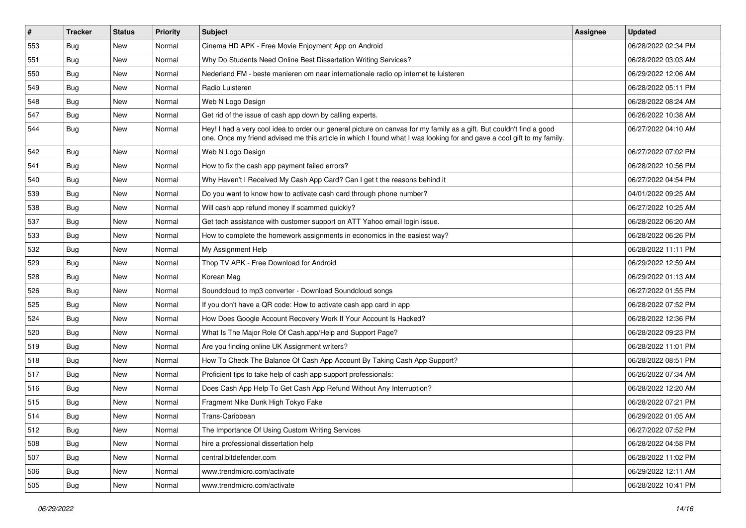| $\vert$ # | <b>Tracker</b> | <b>Status</b> | Priority | <b>Subject</b>                                                                                                                                                                                                                                 | Assignee | <b>Updated</b>      |
|-----------|----------------|---------------|----------|------------------------------------------------------------------------------------------------------------------------------------------------------------------------------------------------------------------------------------------------|----------|---------------------|
| 553       | <b>Bug</b>     | New           | Normal   | Cinema HD APK - Free Movie Enjoyment App on Android                                                                                                                                                                                            |          | 06/28/2022 02:34 PM |
| 551       | Bug            | New           | Normal   | Why Do Students Need Online Best Dissertation Writing Services?                                                                                                                                                                                |          | 06/28/2022 03:03 AM |
| 550       | <b>Bug</b>     | New           | Normal   | Nederland FM - beste manieren om naar internationale radio op internet te luisteren                                                                                                                                                            |          | 06/29/2022 12:06 AM |
| 549       | <b>Bug</b>     | New           | Normal   | Radio Luisteren                                                                                                                                                                                                                                |          | 06/28/2022 05:11 PM |
| 548       | Bug            | New           | Normal   | Web N Logo Design                                                                                                                                                                                                                              |          | 06/28/2022 08:24 AM |
| 547       | Bug            | New           | Normal   | Get rid of the issue of cash app down by calling experts.                                                                                                                                                                                      |          | 06/26/2022 10:38 AM |
| 544       | Bug            | New           | Normal   | Hey! I had a very cool idea to order our general picture on canvas for my family as a gift. But couldn't find a good<br>one. Once my friend advised me this article in which I found what I was looking for and gave a cool gift to my family. |          | 06/27/2022 04:10 AM |
| 542       | Bug            | New           | Normal   | Web N Logo Design                                                                                                                                                                                                                              |          | 06/27/2022 07:02 PM |
| 541       | <b>Bug</b>     | New           | Normal   | How to fix the cash app payment failed errors?                                                                                                                                                                                                 |          | 06/28/2022 10:56 PM |
| 540       | Bug            | New           | Normal   | Why Haven't I Received My Cash App Card? Can I get t the reasons behind it                                                                                                                                                                     |          | 06/27/2022 04:54 PM |
| 539       | <b>Bug</b>     | New           | Normal   | Do you want to know how to activate cash card through phone number?                                                                                                                                                                            |          | 04/01/2022 09:25 AM |
| 538       | Bug            | New           | Normal   | Will cash app refund money if scammed quickly?                                                                                                                                                                                                 |          | 06/27/2022 10:25 AM |
| 537       | Bug            | New           | Normal   | Get tech assistance with customer support on ATT Yahoo email login issue.                                                                                                                                                                      |          | 06/28/2022 06:20 AM |
| 533       | Bug            | New           | Normal   | How to complete the homework assignments in economics in the easiest way?                                                                                                                                                                      |          | 06/28/2022 06:26 PM |
| 532       | <b>Bug</b>     | New           | Normal   | My Assignment Help                                                                                                                                                                                                                             |          | 06/28/2022 11:11 PM |
| 529       | <b>Bug</b>     | New           | Normal   | Thop TV APK - Free Download for Android                                                                                                                                                                                                        |          | 06/29/2022 12:59 AM |
| 528       | Bug            | New           | Normal   | Korean Mag                                                                                                                                                                                                                                     |          | 06/29/2022 01:13 AM |
| 526       | <b>Bug</b>     | New           | Normal   | Soundcloud to mp3 converter - Download Soundcloud songs                                                                                                                                                                                        |          | 06/27/2022 01:55 PM |
| 525       | Bug            | New           | Normal   | If you don't have a QR code: How to activate cash app card in app                                                                                                                                                                              |          | 06/28/2022 07:52 PM |
| 524       | Bug            | New           | Normal   | How Does Google Account Recovery Work If Your Account Is Hacked?                                                                                                                                                                               |          | 06/28/2022 12:36 PM |
| 520       | Bug            | New           | Normal   | What Is The Major Role Of Cash.app/Help and Support Page?                                                                                                                                                                                      |          | 06/28/2022 09:23 PM |
| 519       | Bug            | New           | Normal   | Are you finding online UK Assignment writers?                                                                                                                                                                                                  |          | 06/28/2022 11:01 PM |
| 518       | <b>Bug</b>     | New           | Normal   | How To Check The Balance Of Cash App Account By Taking Cash App Support?                                                                                                                                                                       |          | 06/28/2022 08:51 PM |
| 517       | <b>Bug</b>     | New           | Normal   | Proficient tips to take help of cash app support professionals:                                                                                                                                                                                |          | 06/26/2022 07:34 AM |
| 516       | Bug            | New           | Normal   | Does Cash App Help To Get Cash App Refund Without Any Interruption?                                                                                                                                                                            |          | 06/28/2022 12:20 AM |
| 515       | <b>Bug</b>     | New           | Normal   | Fragment Nike Dunk High Tokyo Fake                                                                                                                                                                                                             |          | 06/28/2022 07:21 PM |
| 514       | <b>Bug</b>     | New           | Normal   | Trans-Caribbean                                                                                                                                                                                                                                |          | 06/29/2022 01:05 AM |
| 512       | Bug            | New           | Normal   | The Importance Of Using Custom Writing Services                                                                                                                                                                                                |          | 06/27/2022 07:52 PM |
| 508       | <b>Bug</b>     | New           | Normal   | hire a professional dissertation help                                                                                                                                                                                                          |          | 06/28/2022 04:58 PM |
| 507       | Bug            | New           | Normal   | central.bitdefender.com                                                                                                                                                                                                                        |          | 06/28/2022 11:02 PM |
| 506       | <b>Bug</b>     | New           | Normal   | www.trendmicro.com/activate                                                                                                                                                                                                                    |          | 06/29/2022 12:11 AM |
| 505       | Bug            | New           | Normal   | www.trendmicro.com/activate                                                                                                                                                                                                                    |          | 06/28/2022 10:41 PM |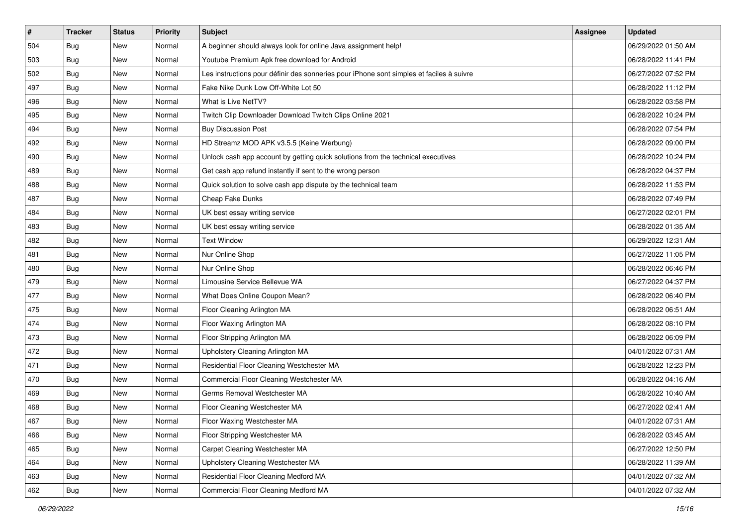| #   | <b>Tracker</b> | <b>Status</b> | Priority | <b>Subject</b>                                                                           | <b>Assignee</b> | <b>Updated</b>      |
|-----|----------------|---------------|----------|------------------------------------------------------------------------------------------|-----------------|---------------------|
| 504 | <b>Bug</b>     | New           | Normal   | A beginner should always look for online Java assignment help!                           |                 | 06/29/2022 01:50 AM |
| 503 | Bug            | New           | Normal   | Youtube Premium Apk free download for Android                                            |                 | 06/28/2022 11:41 PM |
| 502 | Bug            | New           | Normal   | Les instructions pour définir des sonneries pour iPhone sont simples et faciles à suivre |                 | 06/27/2022 07:52 PM |
| 497 | <b>Bug</b>     | New           | Normal   | Fake Nike Dunk Low Off-White Lot 50                                                      |                 | 06/28/2022 11:12 PM |
| 496 | Bug            | New           | Normal   | What is Live NetTV?                                                                      |                 | 06/28/2022 03:58 PM |
| 495 | <b>Bug</b>     | New           | Normal   | Twitch Clip Downloader Download Twitch Clips Online 2021                                 |                 | 06/28/2022 10:24 PM |
| 494 | Bug            | New           | Normal   | <b>Buy Discussion Post</b>                                                               |                 | 06/28/2022 07:54 PM |
| 492 | <b>Bug</b>     | New           | Normal   | HD Streamz MOD APK v3.5.5 (Keine Werbung)                                                |                 | 06/28/2022 09:00 PM |
| 490 | <b>Bug</b>     | New           | Normal   | Unlock cash app account by getting quick solutions from the technical executives         |                 | 06/28/2022 10:24 PM |
| 489 | <b>Bug</b>     | <b>New</b>    | Normal   | Get cash app refund instantly if sent to the wrong person                                |                 | 06/28/2022 04:37 PM |
| 488 | Bug            | New           | Normal   | Quick solution to solve cash app dispute by the technical team                           |                 | 06/28/2022 11:53 PM |
| 487 | Bug            | New           | Normal   | Cheap Fake Dunks                                                                         |                 | 06/28/2022 07:49 PM |
| 484 | Bug            | New           | Normal   | UK best essay writing service                                                            |                 | 06/27/2022 02:01 PM |
| 483 | <b>Bug</b>     | New           | Normal   | UK best essay writing service                                                            |                 | 06/28/2022 01:35 AM |
| 482 | <b>Bug</b>     | New           | Normal   | <b>Text Window</b>                                                                       |                 | 06/29/2022 12:31 AM |
| 481 | Bug            | New           | Normal   | Nur Online Shop                                                                          |                 | 06/27/2022 11:05 PM |
| 480 | <b>Bug</b>     | New           | Normal   | Nur Online Shop                                                                          |                 | 06/28/2022 06:46 PM |
| 479 | Bug            | New           | Normal   | Limousine Service Bellevue WA                                                            |                 | 06/27/2022 04:37 PM |
| 477 | <b>Bug</b>     | New           | Normal   | What Does Online Coupon Mean?                                                            |                 | 06/28/2022 06:40 PM |
| 475 | Bug            | New           | Normal   | Floor Cleaning Arlington MA                                                              |                 | 06/28/2022 06:51 AM |
| 474 | <b>Bug</b>     | New           | Normal   | Floor Waxing Arlington MA                                                                |                 | 06/28/2022 08:10 PM |
| 473 | Bug            | New           | Normal   | Floor Stripping Arlington MA                                                             |                 | 06/28/2022 06:09 PM |
| 472 | Bug            | New           | Normal   | Upholstery Cleaning Arlington MA                                                         |                 | 04/01/2022 07:31 AM |
| 471 | <b>Bug</b>     | New           | Normal   | Residential Floor Cleaning Westchester MA                                                |                 | 06/28/2022 12:23 PM |
| 470 | Bug            | New           | Normal   | Commercial Floor Cleaning Westchester MA                                                 |                 | 06/28/2022 04:16 AM |
| 469 | Bug            | New           | Normal   | Germs Removal Westchester MA                                                             |                 | 06/28/2022 10:40 AM |
| 468 | <b>Bug</b>     | New           | Normal   | Floor Cleaning Westchester MA                                                            |                 | 06/27/2022 02:41 AM |
| 467 | <b>Bug</b>     | New           | Normal   | Floor Waxing Westchester MA                                                              |                 | 04/01/2022 07:31 AM |
| 466 | <b>Bug</b>     | New           | Normal   | Floor Stripping Westchester MA                                                           |                 | 06/28/2022 03:45 AM |
| 465 | <b>Bug</b>     | New           | Normal   | Carpet Cleaning Westchester MA                                                           |                 | 06/27/2022 12:50 PM |
| 464 | Bug            | New           | Normal   | Upholstery Cleaning Westchester MA                                                       |                 | 06/28/2022 11:39 AM |
| 463 | <b>Bug</b>     | New           | Normal   | Residential Floor Cleaning Medford MA                                                    |                 | 04/01/2022 07:32 AM |
| 462 | <b>Bug</b>     | New           | Normal   | Commercial Floor Cleaning Medford MA                                                     |                 | 04/01/2022 07:32 AM |